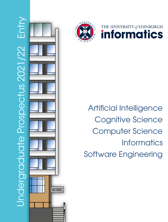







Artificial Intelligence Cognitive Science Computer Science **Informatics** Software Engineering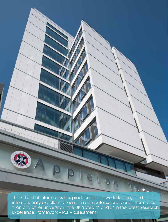The School of Informatics has produced more world-leading and internationally excellent research in computer science and informatics than any other university in the UK (rated 4\* and 3\* in the latest Research Excellence Framework – REF – assessment).

 $\mathbb{N}$  .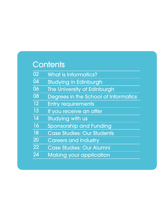# **Contents**

| 02 | <b>What is Informatics?</b>          |
|----|--------------------------------------|
| 04 | <b>Studying in Edinburgh</b>         |
| 06 | The University of Edinburgh          |
| 08 | Degrees in the School of Informatics |
| 12 | <b>Entry requirements</b>            |
| 13 | If you receive an offer              |
| 14 | <b>Studying with us</b>              |
| 16 | <b>Sponsorship and Funding</b>       |
| 18 | <b>Case Studies: Our Students</b>    |
| 20 | <b>Careers and Industry</b>          |

- 22 Case Studies: Our Alumni<br>24 Making your application
- Making your application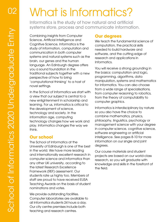# 02 What is Informatics?

Informatics is the study of how natural and artificial systems store, process and communicate information.

Combining insights from Computer Science, Artificial Intelligence and Cognitive Science, Informatics is the study of information, computation and communication in both computer systems and natural systems such as the brain, our genes and the human language. An Edinburgh degree offers you a sound foundation in the traditional subjects together with a new perspective of how to bring 'computational thinking' to a host of novel settings.

In the School of Informatics we start with a view that our subject is central to a new enlightenment in scholarship and learning. For us, informatics is critical to the development of science, technology and society. In the information age, computing technology changes how we work and play. Informatics changes the way we think.

## **Our school**

The School of Informatics at the University of Edinburgh is one of the best in the world. We have more leading and internationally excellent research in computer science and informatics than any other UK university, according to the latest Research Excellence Framework (REF) assessment. Our students rate us highly too. Members of staff are proud to have received EUSA Teaching Awards on the basis of student nominations and votes.

We provide outstanding facilities. Computer laboratories are available to all Informatics students 24 hours a day. Our city centre premises include both teaching and research centres.

#### **Our degrees**

We teach the fundamental science of computation, the practical skills needed to build hardware and software, and the cutting edge of research and applications in Informatics.

You will receive a strong grounding in the basics: computation and logic, programming, algorithms, data manipulation, systems and mathematics for informatics. You can also choose from a wide range of specialisations, from computer reasoning to robotics, from the theory of computability to computer graphics.

Informatics is interdisciplinary by nature so you also have the choice to combine mathematics, physics, philosophy, linguistics, psychology or management science with your degree in computer science, cognitive science, software engineering or artificial intelligence. See pages 8-10 for more information on our single and joint degrees.

Our course materials and student projects are based on our world-class research, so you will graduate with knowledge and skills in the forefront of the field.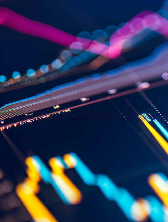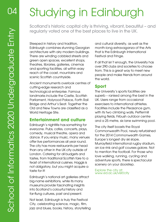# Studying in Edinburgh

Scotland's historic capital city is thriving, vibrant, beautiful – and regularly voted one of the best places to live in the UK.

Steeped in history and tradition, Edinburgh combines stunning Georgian architecture with airy modern buildings. There are winding cobbled streets and green open spaces, excellent shops, theatres, libraries, galleries, cinemas and sporting facilities, all within easy reach of the coast, mountains and scenic Scottish countryside.

Ancient monuments overlook centres of cutting-edge research and technological enterprise. Famous landmarks include the Castle, Scottish Parliament, Holyrood Palace, Forth Rail Bridge and Arthur's Seat. Together the Old and New Towns are classified as a World Heritage Site.

#### **Entertainment and culture**

Edinburgh's nightlife has something for everyone. Pubs, cafes, concerts, plays, comedy, musical theatre, opera and dance. If you enjoy music, many venues offer live performances all year round. The city has more restaurants per head than any other in the UK city outside of London. Catering for all budgets and tastes, from traditional Scottish fare to a feast of international cuisines. Haggis is not obligatory, but you might acquire a taste for it!

Edinburgh's national art galleries attract big-name exhibitions, while its many museums provide fascinating insights into Scotland's colourful history and far-flung cultures, past and present.

Not least, Edinburgh is truly the Festival City, celebrating science, magic, film, jazz and blues, books, history, storytelling and cultural diversity, as well as the month-long extravaganza of the Arts that is the Edinburgh International Festival and Fringe.

If all that isn't enough, the University has over 290 clubs and societies to choose from. This is a great way to meet new people and make friends from around the world.

# **Sport**

The University's sports facilities are superb – ranked among the best in the UK. Users range from occasional exercisers to international athletes. Facilities include the Pleasance gym, with its two climbing walls, Peffermill playing fields, Firbush outdoor centre and a 25 metre, six lane swimming pool.

The city itself boasts the Royal Commonwealth Pool, newly refurbished for the 2014 Commonwealth Games, Europe's longest dry ski slope, Murrayfield international rugby stadium, an ice rink and golf courses galore. Not to mention the football. For those who love walking, running, cycling and adventure sports, there is spectacular scenery on your doorstep.

Explore the city at: www.ed.ac.uk/visit/city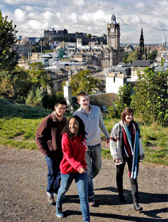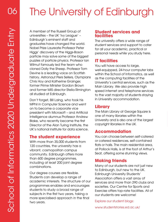# The University of Edinburgh

A member of the Russell Group of universities – the UK 'Ivy League' – Edinburgh's eminent staff and graduates have changed the world. Nobel Prize Laureate Professor Peter Higgs' discovery of the Higgs-Boson particle may solve some of the biggest puzzles of particle physics. Professor Ian Wilmut famously led the team who cloned Dolly the Sheep. Professor Tom Devine is a leading voice on Scottish history. Astronaut Piers Sellers, Olympians Chris Hoy and Katherine Grainger, former Prime Minister Gordon Brown and former MI5 director Stella Rimington all studied at Edinburgh.

Don't forget, Bill Laing, who took his MPhil in Computer Science and went on to become a corporate vice president with Microsoft – and Artificial Intelligence alumnus Professor Andrew Blake, who recently became the first Director of the Alan Turing Institute, the UK's national institute for data science.

# **The student experience**

With more than 35,000 students from 120 countries, the university has a vibrant, cosmopolitan campus community. Edinburgh offers more than 600 degree programmes, including at least 200 joint degree combinations.

Our degree courses are flexible. Students can develop a range of academic interests. The structure of our programmes enables and encourages students to study a broad range of subjects in the first two years, taking a more specialised approach in the final two years.

#### **Student services and facilities**

The university offers a wide range of student services and support to cater for all your academic, practical or personal needs while you study here.

# **IT facilities**

You will have access to large, well-equipped, 24-hour computer labs within the School of Informatics, as well as the computing facilities of the University's central services, such as the Main Library. We also provide high speed internet and telephone services to the vast majority of students staying in University accommodation.

# **Library**

The Main Library at George Square is one of many libraries within the University and is also one of the largest copyright libraries in the UK.

# **Accommodation**

You can choose between self-catered or catered residences, self-contained flats or halls. The main residential area, at Pollock Halls, is at the foot of Arthur's Seat, offering some stunning views.

# **Making friends**

Many of our students are not just new to Edinburgh, but new to the UK. Edinburgh University Students' Association offers a vast array of services and more than 290 clubs and societies. Our Centre for Sports and Exercise offers top-rate facilities. All of our students are welcome!

Explore our student blogs:

www.studentstories.ed.ac.uk/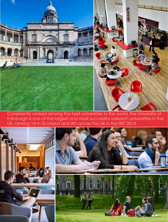



Consistently ranked among the best universities in the world, the University of Edinburgh is one of the largest and most successful research universities in the UK, ranking 1st in Scotland and 4th across the UK in the REF 2014.

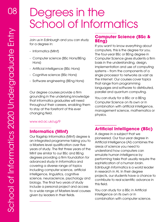# Degrees in the School of Informatics

Join us in Edinburgh and you can study for a degree in:

- Informatics (MInf)
- Computer science (BSc Hons/BEng Hons)
- Artificial intelligence (BSc Hons)
- Cognitive science (BSc Hons)
- Software engineering (BEng Hons)

Our degree courses provide a firm grounding in the underlying knowledge that informatics graduates will need throughout their careers, enabling them to stay at the forefront of this ever changing field.

#### www.ed.ac.uk/ug/9

# **Informatics (MInf)**

Our flagship Informatics (MInf) degree is an integrated programme taking you to a Masters level qualification over five years of study. The first three years of the MInf are similar to our BSc and BEng degrees providing a firm foundation for advanced study in Informatics and covering a diverse range of topics including computer science, artificial intelligence, linguistics, cognitive science, neuroscience, psychology and biology. The final two years of study include a personal project and access to a wide range of Masters level courses given by leaders in their fields.

## **Computer Science (BSc & BEng)**

If you want to know everything about computers, this is the degree for you. The four-year BSc or BEng degree in Computer Science gives students a firm basis in the understanding, design, implementation and use of computing systems – from the components of a single processor to networks as vast as the internet. Our courses cover topics that range from programming languages and software to distributed, parallel and quantum computing.

You can study for a BSc or a BEng Computer Science on its own or in combination with artificial intelligence, management science, mathematics or physics.

# **Artificial Intelligence (BSc)**

A degree in a subject that we pioneered. Our four-year degree in Artificial Intelligence (AI) combines the areas of science you need to understand how computers can emulate human intelligence by performing tasks that usually require the sophistication of a human brain. Edinburgh Informatics is a world leader in research in AI. In their degree projects, our students have a chance to contribute to real scientific advance in this field.

You can study for a BSc in Artificial Intelligence on its own or in combination with computer science.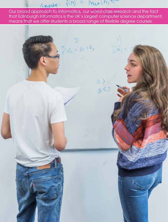$6p0dy: f(n) =$ Our broad approach to informatics, our world-class research and the fact that Edinburgh Informatics is the UK's largest computer science department, means that we offer students a broad range of flexible degree courses.

 $f(s) = 8.88$ 

 $n_{SLD}(n)$ 

 $475$ 

 $350$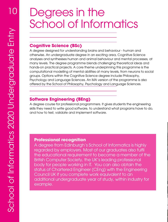# 10 Degrees in the School of Informatics

## **Cognitive Science (BSc)**

A degree designed for understanding brains and behaviour - human and otherwise. An undergraduate degree in an exciting area, Cognitive Science analyses and synthesises human and animal behaviour and mental processes, at many levels. The degree programme blends challenging theoretical ideas and hands-on practical projects. A core theme underpinning this programme is the computational modelling of mental abilities at many levels, from neurons to social groups. Options within the Cognitive Science degree include Philosophy, Psychology and Language Sciences. An MA version of the programme is also offered by the School of Philosophy, Psychology and Language Sciences.

# **Software Engineering (BEng)**

A degree course for professional programmers. It gives students the engineering skills they need to write good software, to understand what programs have to do, and how to test, validate and implement software.

## **Professional recognition**

A degree from Edinburgh's School of Informatics is highly regarded by employers. Most of our graduates also fulfil the educational requirement to become a member of the British Computer Society, the UK's leading professional body for people working in IT. You can also obtain the status of Chartered Engineer (CEng) with the Engineering Council UK if you complete work equivalent to an additional undergraduate year of study, within industry for example.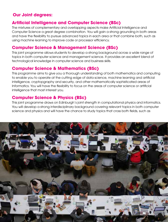# **Our Joint degrees:**

# **Artificial Intelligence and Computer Science (BSc)**

The mixtures of complementary and overlapping aspects make Artificial Intelligence and Computer Science a great degree combination. You will gain a strong grounding in both areas and have the flexibility to pursue advanced topics in each area or that combine both, such as using machine learning to improve code or processor efficiency.

# **Computer Science & Management Science (BSc)**

This joint programme allows students to develop a strong background across a wide range of topics in both computer science and management science. It provides an excellent blend of technological knowledge in computer science and business skills.

# **Computer Science & Mathematics (BSc)**

This programme aims to give you a thorough understanding of both mathematics and computing to enable you to operate at the cutting edge of data science, machine learning and artificial intelligence, cryptopgraphy and security, and other mathematically sophisticated areas of Informatics. You will have the flexibility to focus on the areas of computer science or artificial intelligence that most interest you.

## **Computer Science & Physics (BSc)**

This joint programme draws on Edinburgh's joint strength in computational physics and informatics. You will develop a strong interdisciplinary background covering relevant topics in both computer science and physics and will have the chance to study topics that cross both fields, such as

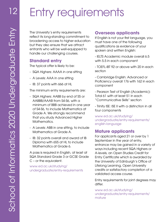# Entry requirements

The University's entry requirements reflect its long-standing commitment to broadening access to higher education but they also ensure that we attract entrants who will be well-equipped to handle our challenging courses.

## **Standard entry**

The typical offer is likely to be:

- SQA Highers: AAAA in one sitting
- A Levels: AAA in one sitting
- IB: 37 points with 666 at HL

The minimum entry requirements are:

- SQA Highers: AABB by end of S5 or AABBB/AAAB from S4-S6, with a minimum of BBB achieved in one year of S4-S6, to include Mathematics at Grade A. We strongly recommend that you study Advanced Higher Mathematics.
- A Levels: ABB in one sitting, to include Mathematics at Grade A.
- IB: 32 points overall and award of IB Diploma with 655 at HL to include Mathematics at Grade 6.

A pass is required in English, at least at SQA Standard Grade 3 or GCSE Grade C – or the equivalent.

www.ed.ac.uk/studying/ undergraduate/entry-requirements

### **Overseas applicants**

If English is not your first language, you must have one of the following qualifications as evidence of your spoken and written English:

- IELTS Academic module overall 6.5 with 5.5 in each component

- TOEFL-iBT 92 or above with 20 in each section

- Cambridge English: Advanced or Proficiency overall 176 with 162 in each component

- Pearson Test of English (Academic): Total 61 with at least 51 in each "Communicative Skills" section

- Trinity ISE: ISE II with a distinction in all four components

www.ed.ac.uk/studying/ undergraduate/entry-requirements/ english-language

## **Mature applicants**

For applicants aged 21 or over by 1 September in the year of entry, entrance may be gained in a variety of ways including recent SQA Highers or A-levels, an Open Studies Credit for Entry Certificate which is awarded by the University of Edinburgh's Office of Lifelong Learning, Open University credits or satisfactory completion of a validated access course.

Entry requirements for joint degrees may differ.

www.ed.ac.uk/studying/ undergraduate/entry-requirements/ mature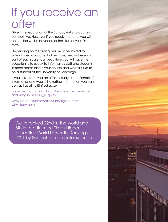# If you receive an offer

Given the reputation of the School, entry to courses is competitive. However if you receive an offer you will be notified well in advance of the start of your first term.

Depending on the timing, you may be invited to attend one of our offer holder days, held in the early part of each calendar year. Here you will have the opportunity to speak to Informatics staff and students in more depth about your course and what it's like to be a student at the University of Edinburgh.

If you have received an offer to study at the School of Informatics and would like further information you can contact us at ito@inf.ed.ac.uk

For more information about the student experience and living in Edinburgh, go to:

www.ed.ac.uk/informatics/undergraduate/ why-study-here

We're ranked 22nd in the world and 5th in the UK in the Times Higher Education World University Rankings 2021 by Subject for computer science.

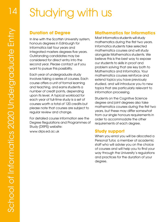# Studying with us

## **Duration of Degree**

In line with the Scottish University system, honours degrees in Edinburgh for Informatics last four years and integrated masters degrees five years. Outstanding candidates may be considered for direct entry into the second year. Please contact us if you want to pursue this possibility.

Each year of undergraduate study involves taking a series of courses. Each course offers a unit of formal learning and teaching, and earns students a number of credit points, depending upon its level. A typical workload for each year of full-time study is a set of courses worth a total of 120 credits but please note that courses are subject to regular review and change.

For detailed course information see the Degree Regulations and Programmes of Study (DRPS) website:

www.drps.ed.ac.uk

# **Mathematics for Informatics**

Most Informatics students will study mathematics during the first two years. Informatics students take selected mathematics courses and will study alongside Mathematics students. We believe this is the best way to expose our students to skills in proof and problem solving that are key both to Mathematics and Informatics. Your mathematics courses reinforce and extend topics you have previously studied, and will introduce you to new topics that are particularly relevant to information processing.

Students on the Cognitive Science degree and joint degrees also take mathematics courses during the first two years, but these may differ somewhat from our single honours requirements in order to accommodate the other requirements of each degree.

## **Study support**

When you enrol you will be allocated a Personal Tutor, a member of academic staff who will advise you on the choice of courses and will help you to find your way through the University's regulations and practices for the duration of your degree.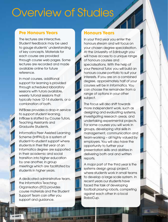# Overview of Studies

# **Pre Honours Years**

The lectures are interactive. Student feedback may be used to gauge students' understanding of key concepts. Materials for each course are provided through course web pages. Some lectures are recorded and made available online for future reference.

In most courses, additional support for learning is provided through scheduled laboratory sessions with tutors available, weekly tutorial sessions that typically have 12-14 students, or a combination of both.

INFBase provides a drop-in service to support student learning. InfBase is staffed by Course Tutors, Teaching Assistants and Graduate Students.

Informatics Peer Assisted Learning Scheme (InfPALS) is a system of student-to-student support where students in their first year of an Informatics degree are supported in their academic and social transition into higher education by one another, in group meetings which are facilitated by students in higher years.

A dedicated administrative team, the Informatics Teaching Organisation (ITO) provides course materials and the Student Support Team can offer you support and guidance.

**Lemmar Lances** 

## **Honours Years**

In your third year you enter the honours stream and will focus on your chosen degree specialisation. At the University of Edinburgh you will have access to a unique range of honours courses and specialisations. With the help of your Personal Tutor, you will build an honours course portfolio to suit your interests. If you are on a combined degree, approximately half of your courses will be in Informatics. You can choose the remainder from a range of options in your other subject.

The focus will also shift towards more independent work, such as designing and evaluating systems, investigating research areas, and undertaking experimental projects. For some courses you will work in groups, developing vital skills in management, communication and team-working – all highly valued by employers. You will also have the opportunity to further your presentation skills and abilities in delivering both oral and written reports.

A major part of the third year is the systems design group project, where students work in small teams to develop a large scale system. In recent years our students have faced the task of developing football playing robots, competing against each other in a local RoboCup.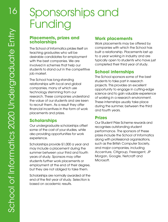# Sponsorships and **Funding**

#### **Placements, prizes and scholarships**

The School of Informatics prides itself on teaching graduates who will be desirable candidates for employment with the best companies. We are involved in schemes that help our students to stand out in the competitive job market.

The School has long-standing relationships with local and global companies, many of which use technology stemming from our research. These companies understand the value of our students and are keen to recruit them. As a result they offer financial incentives in the form of work placements and prizes.

# **Scholarships**

Our undergraduate scholarships offset some of the cost of your studies, while also providing opportunities for work experience.

Scholarships provide £1,000 a year and may include a placement during the summer between your third and fourth years of study. Sponsors may offer students further work placements or employment at the end of their degree, but they are not obliged to take them.

Scholarships are normally awarded at the end of the first year of study. Selection is based on academic results.

# **Work placements**

Work placements may be offered by companies with which the School has built a relationship. Placements last up to a year working in industry and are typically open to students who have just completed their third year of study.

# **School internships**

The School sponsors some of the best students to take part in research projects. This provides an excellent opportunity to engage in cutting-edge science and to gain valuable experience of working in a research environment. These internships usually take place during the summer, between the third and fourth years.

# **Prizes**

Our Student Prize Scheme rewards and recognises outstanding student performance. The sponsors of these prizes include the School of Informatics along with professional organisations, such as the British Computer Society, and major companies, including Accenture, Citigroup, Freeagent, JP Morgan, Google, Netcraft and Microsoft.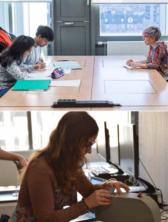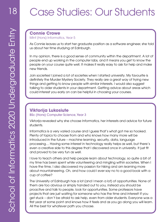# 18 Case Studies: Our Students

## **Connie Crowe**

#### MInf (Hons) Informatics, Year 5

As Connie leaves us to start her graduate position as a software engineer, she told us about her time studying at Edinburgh.

In my opinion, there is a good sense of community within the department. A lot of people end up working in the computer labs, and it means you get to know the people on your course quite well. It makes it really easy to ask for help and make new friends.

Join societies! I joined a lot of societies when I started university. My favourite is definitely the Murder Mystery Society. They really are a great way of trying new things and getting to know people with similar interests. I would also suggest talking to older students in your department. Getting advice about areas which could interest you early on can be helpful in choosing your courses.

# **Viktorija Lukosiute**

#### BSc (Hons) Computer Science, Year 3

Viktorija revealed why she choose Informatics, her interests and advice for future students.

Informatics is a very varied course and I guess that's what got me so hooked. Plenty of topics to choose from and who knows how many more will be introduced in the future – machine learning, security, data, language processing… Having some interest in technology really helps as well, but there's even a creative side to this degree that I discovered once in university. It just fit and proved to be very fun as well.

I love to teach others and help people learn about technology, so quite a bit of my time has been spent while volunteering and mingling within societies. When I have the time, I also discovered my passion for hiking and am learning more about mountaineering. Oh, and how could I ever say no to a good book with a cup of coffee?

The University of Edinburgh has a lot (and I mean a lot) of opportunities. None of them are too obvious or simply handed out to you, instead you should be proactive and talk to people, look for opportunities. Some professors have projects that are just waiting for someone who has the time and interest! If you get stuck – don't be afraid to ask help, even from older students. Everyone was a first year at some point and knows how it feels and as you go along you will learn. All the best for whatever path you choose.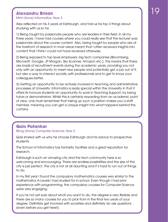## **Alexandru Brisan**

MInf (Hons) Informatics, Year 3

Alex reflected on his 3 years at Edinburgh, and told us his top 3 things about studying with us so far.

1) Being taught by passionate people who are leaders in their field. In all my three years, I have had courses where you could really see that the lecturer was passionate about the course content. Also, being taught by people who are at the forefront of research in most areas meant that I often received insights into content that I think I could not have received otherwise.

2) Being exposed to top level employers: big tech companies (Bloomberg, Microsoft, Google, JP Morgan, Sky Scanner, Amazon etc.). This means that there are loads of recruitment events during the academic years, providing you not only with an opportunity to meet new people and potentially get a job out of it, but also a way to interact socially with professionals and to get to know your colleagues better.

3) Getting an opportunity to be actively involved in teaching and administrative processes at University: Informatics is really special within the University in that it offers its honours students an opportunity to work in Teaching Support, by being tutors or demonstrators. Whilst this is certainly rewarding from an academic point of view, one must remember that taking up such a position makes you a staff member, meaning you can get a unique insight into what happens behind the curtains.

# **Qais Patankar**

#### BEng (Hons) Computer Science, Year 2

Qais shared with us why he choose Edinburgh and his advice to prospective students.

The School of Informatics has fantastic facilities and a great reputation for research.

Edinburgh is such an amazing city and the tech community here is so welcoming and encouraging. There are endless possibilities and the size of the city is just perfect. The city is not at all daunting and it's hard to run out of things to do.

In my first year I found the compulsory mathematics courses very similar to the mathematics A-Levels I had studied for in school. Even though I had prior experience with programming, the compulsory courses for Computer Science were very engaging.

If you're not yet sure about what you want to do, the degree is very flexible and there are so many courses for you to pick from in the final two years of your degree. Definitely get involved with societies and definitely do ask questions (even before you get here!).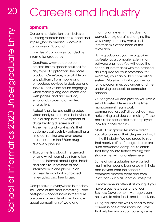# Careers and Industry

# **Spinouts**

Our commercialisation team builds on our strong research base to support and inspire globally ambitious software companies in Scotland.

Examples of companies founded by informatics graduates:

- CereProc, www.cereproc.com, creates text-to-speech solutions for any type of application. Their core product, CereVoice, is available on any platform, from mobile and embedded devices to desktops and servers. Their voices sound engaging when reading long documents and web pages, and add realistic, emotional, voices to animated characters.
- Actual Analytics use cutting-edge video analysis to analyse behaviour, a crucial step in the development of drugs treating diseases such as Alzheimer's and Parkinson's. Their customers cut costs by automating a time-consuming and error-prone manual step in the \$80bn drug discovery pipeline.
- Skyscanner is a global metasearch engine which complies information from the internet about flights, hotels and car hire. It presents all the information in one place, in an accessible way that is unbiased, time-saving and free to use.

Computers are everywhere in modern life. Some of the most interesting – and best-paid – opportunities in the future are open to people who really know about computing, software and

information systems. The advent of pervasive 'big data' is changing the way every company works and Informatics is at the heart of this revolution.

Upon graduation, you are a qualified professional, a computer scientist or software engineer. You will leave the School of Informatics with the practical skills required for your profession, for example, you can build a computing system. More importantly, you are not just a programmer: you understand the underlying concepts of computer science.

Our degrees will also provide you with a set of transferable skills such as time management, team work, communication, self-directed learning, networking and decision making. These are just the sorts of skills that employers look for in their recruits.

Most of our graduates make direct vocational use of their degree and work in the IT industry. We are proud to say that nearly a fifth of our graduates are such passionate computer scientists that they go into further training and study either with us or elsewhere.

Some of our graduates have started multi-million pound businesses with help and advice from the School's commercialisation team and from institutions such as Scottish Enterprise.

IT entrepreneurs often start young. If you have a business idea, one of our Business Development Managers can help you to raise funds and find advice.

Our graduates are well placed to seek careers in one of the many industries that rely heavily on computer systems.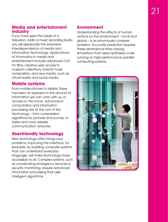# 21

### **Media and entertainment industry**

If you have seen the inside of a television, radio or music recording studio you will appreciate the extensive interdependence of media and information technology. Applications of informatics in media and entertainment include advanced CGI for films, creative web access to museum collections, tools for music composition, and new media, such as virtual reality and social media.

#### **Mobile systems**

From mobile phones to tablets, there has been an explosion in the amount of information we can carry with us, or access on the move. Advances in computation and information processing are at the root of this technology – from compression algorithms for pictures and sounds, to faster and more reliable communication networks.

## **User-friendly technology**

New technology often brings new problems. Improving the interface, for example, by building computer systems that can understand everyday language, will make technology more accessible to all. Complex systems, such as coordinating emergency services or security monitoring, require advanced information processing that uses intelligent algorithms.

## **Environment**

Understanding the effects of human actions on the environment – local and global – is an enormously complex problem. Accurate prediction requires three-dimensional time-varying simulations that need optimised code running on high-performance parallel computing systems.

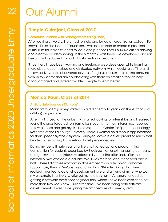# 22 Our Alumni

# **Dimple Gulrajani, Class of 2017**

#### Computer Science with Management (BEng Hons).

After leaving university, I returned to India and joined an organisation called 'I For Indya' (IFI) as the Head of Education. I was determined to create a practical curriculum for Indian students to learn and practice useful skills like critical thinking and creative problem solving, In the 6 months I was there, we developed and ran Design Thinking based curricula for students and teachers.

Since then, I have been working as a freelance web developer, while learning more about decentralised and distributed networks which could run offline and at low-cost. I've also discovered dozens of organisations in India doing amazing work in this sector and am collaborating with them on creating tools to help disadvantaged and differently-abled people to learn better.

# **Monica Paun, Class of 2014**

#### Artificial Intelligence (BSc Hons)

Monica's student journey started on a direct entry to year 2 on the Astrophysics (MPhys) programme.

After my first year at the university, I started looking for internships and I realised I found the ones targeted to Informatics students the most interesting. I applied to few of those and got my first internship at the Center for Speech technology Research of the Edinburgh University. There, I worked on a mobile app interface for their Speech Synthesis System. I enjoyed software development so much that I ended up switching to an Artificial Intelligence degree.

During my penultimate year of university, I signed up for a programming competition for students organised by Blackrock, an asset managing company, and got invited to an interview afterwards. I took the offer and, after the internship, was offered a graduate role. I was there for about one year and a half, where I did three rotations in different teams, in a technical customer support role, then a DevOps role and finally a DBA role. During that time, I realised I wanted to do a full development role and a friend of mine, who was my classmate in university, referred my to a position in Amazon. I ended up getting a software developer engineer role, where I have been ever since, for more than two years now. During this time, I've been doing both software development as well as designing the architecture of a new system.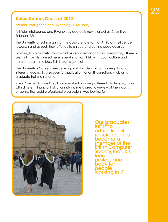# 23

# **Kolos Kantor, Class of 2012**

#### Artificial Intelligence and Psychology (BSc Hons)

Artificial Intelligence and Psychology degree is now classed as Coginitive Science (BSc).

The University of Edinburgh is at the absolute forefront of Artificial Intelligence research and as such they offer quite unique and cutting edge courses.

Edinburgh is a fantastic town which is very international and welcoming. There is plenty to be discovered here, everything from history through culture and nature to part time jobs, Edinburgh's got it all.

The University's Careers Service was pivotal in identifying my strengths and interests, leading to a successful application for an IT consultancy job on a graduate training scheme.

In my 4 years of consulting, I have worked on 7 very different challenging roles with different financial institutions giving me a great overview of the industry enabling the rapid professional progression I was looking for.



ur araduates fulfil the educational requirement to become a ember of the tish Computer ciety, the UK's ading professional dy for people working in IT.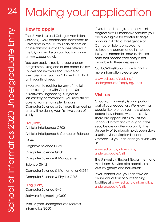# Making your application

# **How to apply**

The Universities and Colleges Admissions Service (UCAS) coordinates admissions to universities in the UK. You can access an online database of all courses offered in the UK, and make an application online at: www.ucas.ac.uk.

You can apply directly to your chosen programme using one of the codes below. This will not limit your final choice of specialisation, you don't have to do that until your third year.

If you plan to register for any of the joint honours degrees with Computer Science or Software Engineering, subject to satisfactory performance, you may still be able to transfer to single Honours in Computer Science or Software Engineering at any time during your first two years of study.

#### BSc (Hons)

Artificial Intelligence G700

Artificial Intelligence & Computer Science

GG47

Cognitive Science C859

Computer Science G400

Computer Science & Management

Science GN42

Computer Science & Mathematics GG14

Computer Science & Physics GF43

#### BEng (Hons)

Computer Science G401

Software Engineering G600

MInf– 5-year Undergraduate Masters Informatics G500

If you intend to register for any joint degrees with Humanities disciplines you are also eligible for transfer to single honours in Artificial Intelligence or Computer Science, subject to satisfactory performance in the first-year Informatics course. (Please note that second year entry is not available to these degrees.)

Our UCAS institution code is E56. For more information please see

www.ed.ac.uk/studying/ undergraduate/applying/ucas

# **Visit us**

Choosing a university is an important part of your education. We know that people like to check out new places before they choose where to study. There are opportunities to visit the School of Informatics throughout the year, before or after you apply. The University of Edinburgh holds open days, usually in June, September and October. Or you can arrange a visit with us.

#### www.ed.ac.uk/informatics/ undergraduate/visit

The University's Student Recruitment and Admissions Service also coordinates visits by groups and individuals.

If you cannot visit, you can take an online virtual tour of our teaching facilities at www.ed.ac.uk/informatics/ undergraduate/visit/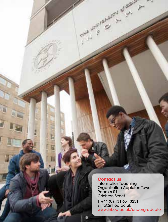#### **Contact us**

Informatics Teaching Organisation Appleton Tower, Room 6.01 Crichton Street T +44 (0) 131 651 3251 E ito@inf.ed.ac.uk www.inf.ed.ac.uk/undergraduate